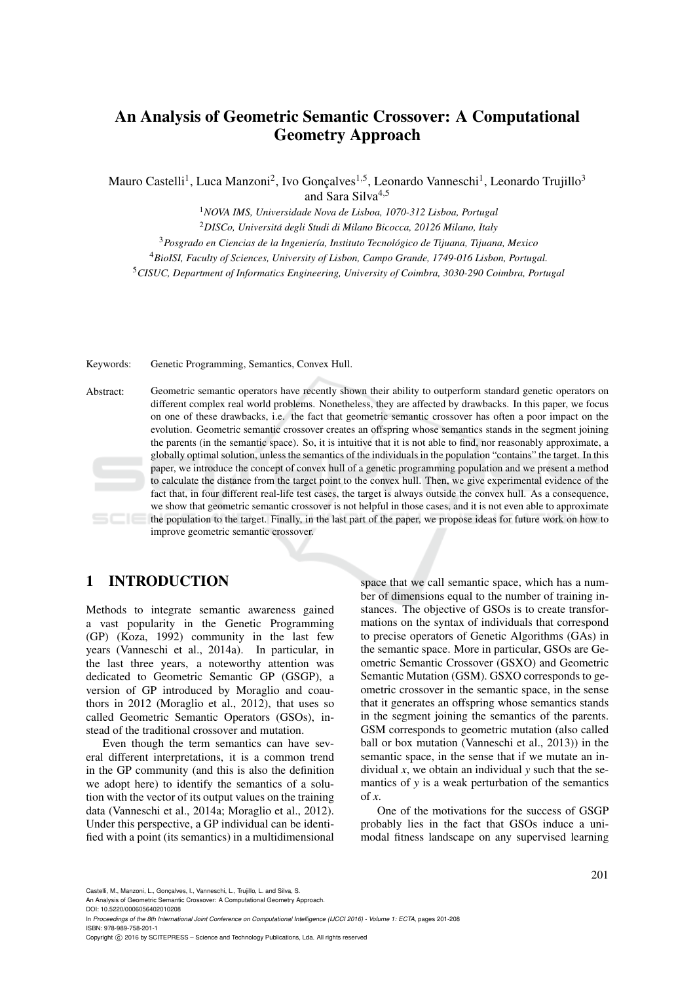# An Analysis of Geometric Semantic Crossover: A Computational Geometry Approach

Mauro Castelli<sup>1</sup>, Luca Manzoni<sup>2</sup>, Ivo Gonçalves<sup>1,5</sup>, Leonardo Vanneschi<sup>1</sup>, Leonardo Trujillo<sup>3</sup> and Sara Silva<sup>4,5</sup>

> <sup>1</sup>*NOVA IMS, Universidade Nova de Lisboa, 1070-312 Lisboa, Portugal* <sup>2</sup>*DISCo, Universita degli Studi di Milano Bicocca, 20126 Milano, Italy ´*

<sup>3</sup>*Posgrado en Ciencias de la Ingenier´ıa, Instituto Tecnologico de Tijuana, Tijuana, Mexico ´*

<sup>4</sup>*BioISI, Faculty of Sciences, University of Lisbon, Campo Grande, 1749-016 Lisbon, Portugal.*

<sup>5</sup>*CISUC, Department of Informatics Engineering, University of Coimbra, 3030-290 Coimbra, Portugal*

Keywords: Genetic Programming, Semantics, Convex Hull.

Abstract: Geometric semantic operators have recently shown their ability to outperform standard genetic operators on different complex real world problems. Nonetheless, they are affected by drawbacks. In this paper, we focus on one of these drawbacks, i.e. the fact that geometric semantic crossover has often a poor impact on the evolution. Geometric semantic crossover creates an offspring whose semantics stands in the segment joining the parents (in the semantic space). So, it is intuitive that it is not able to find, nor reasonably approximate, a globally optimal solution, unless the semantics of the individuals in the population "contains" the target. In this paper, we introduce the concept of convex hull of a genetic programming population and we present a method to calculate the distance from the target point to the convex hull. Then, we give experimental evidence of the fact that, in four different real-life test cases, the target is always outside the convex hull. As a consequence, we show that geometric semantic crossover is not helpful in those cases, and it is not even able to approximate the population to the target. Finally, in the last part of the paper, we propose ideas for future work on how to improve geometric semantic crossover.

## 1 INTRODUCTION

Methods to integrate semantic awareness gained a vast popularity in the Genetic Programming (GP) (Koza, 1992) community in the last few years (Vanneschi et al., 2014a). In particular, in the last three years, a noteworthy attention was dedicated to Geometric Semantic GP (GSGP), a version of GP introduced by Moraglio and coauthors in 2012 (Moraglio et al., 2012), that uses so called Geometric Semantic Operators (GSOs), instead of the traditional crossover and mutation.

Even though the term semantics can have several different interpretations, it is a common trend in the GP community (and this is also the definition we adopt here) to identify the semantics of a solution with the vector of its output values on the training data (Vanneschi et al., 2014a; Moraglio et al., 2012). Under this perspective, a GP individual can be identified with a point (its semantics) in a multidimensional

space that we call semantic space, which has a number of dimensions equal to the number of training instances. The objective of GSOs is to create transformations on the syntax of individuals that correspond to precise operators of Genetic Algorithms (GAs) in the semantic space. More in particular, GSOs are Geometric Semantic Crossover (GSXO) and Geometric Semantic Mutation (GSM). GSXO corresponds to geometric crossover in the semantic space, in the sense that it generates an offspring whose semantics stands in the segment joining the semantics of the parents. GSM corresponds to geometric mutation (also called ball or box mutation (Vanneschi et al., 2013)) in the semantic space, in the sense that if we mutate an individual *x*, we obtain an individual *y* such that the semantics of *y* is a weak perturbation of the semantics of *x*.

One of the motivations for the success of GSGP probably lies in the fact that GSOs induce a unimodal fitness landscape on any supervised learning

Castelli, M., Manzoni, L., Gonçalves, I., Vanneschi, L., Trujillo, L. and Silva, S.

An Analysis of Geometric Semantic Crossover: A Computational Geometry Approach. DOI: 10.5220/0006056402010208

In *Proceedings of the 8th International Joint Conference on Computational Intelligence (IJCCI 2016) - Volume 1: ECTA*, pages 201-208 ISBN: 978-989-758-201-1

Copyright © 2016 by SCITEPRESS - Science and Technology Publications, Lda. All rights reserved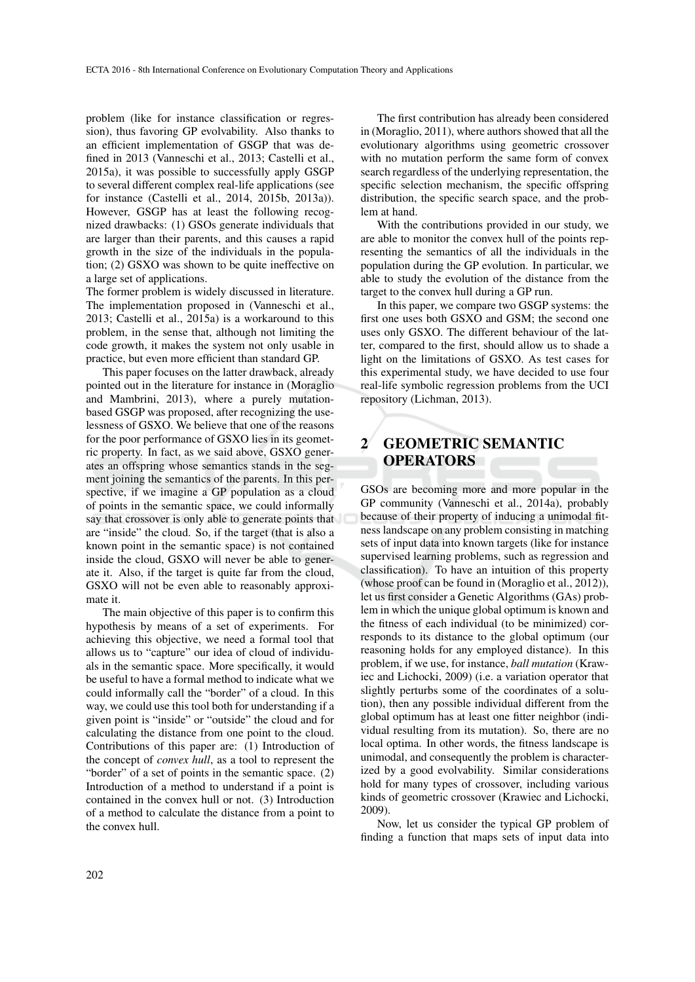problem (like for instance classification or regression), thus favoring GP evolvability. Also thanks to an efficient implementation of GSGP that was defined in 2013 (Vanneschi et al., 2013; Castelli et al., 2015a), it was possible to successfully apply GSGP to several different complex real-life applications (see for instance (Castelli et al., 2014, 2015b, 2013a)). However, GSGP has at least the following recognized drawbacks: (1) GSOs generate individuals that are larger than their parents, and this causes a rapid growth in the size of the individuals in the population; (2) GSXO was shown to be quite ineffective on a large set of applications.

The former problem is widely discussed in literature. The implementation proposed in (Vanneschi et al., 2013; Castelli et al., 2015a) is a workaround to this problem, in the sense that, although not limiting the code growth, it makes the system not only usable in practice, but even more efficient than standard GP.

This paper focuses on the latter drawback, already pointed out in the literature for instance in (Moraglio and Mambrini, 2013), where a purely mutationbased GSGP was proposed, after recognizing the uselessness of GSXO. We believe that one of the reasons for the poor performance of GSXO lies in its geometric property. In fact, as we said above, GSXO generates an offspring whose semantics stands in the segment joining the semantics of the parents. In this perspective, if we imagine a GP population as a cloud of points in the semantic space, we could informally say that crossover is only able to generate points that are "inside" the cloud. So, if the target (that is also a known point in the semantic space) is not contained inside the cloud, GSXO will never be able to generate it. Also, if the target is quite far from the cloud, GSXO will not be even able to reasonably approximate it.

The main objective of this paper is to confirm this hypothesis by means of a set of experiments. For achieving this objective, we need a formal tool that allows us to "capture" our idea of cloud of individuals in the semantic space. More specifically, it would be useful to have a formal method to indicate what we could informally call the "border" of a cloud. In this way, we could use this tool both for understanding if a given point is "inside" or "outside" the cloud and for calculating the distance from one point to the cloud. Contributions of this paper are: (1) Introduction of the concept of *convex hull*, as a tool to represent the "border" of a set of points in the semantic space. (2) Introduction of a method to understand if a point is contained in the convex hull or not. (3) Introduction of a method to calculate the distance from a point to the convex hull.

The first contribution has already been considered in (Moraglio, 2011), where authors showed that all the evolutionary algorithms using geometric crossover with no mutation perform the same form of convex search regardless of the underlying representation, the specific selection mechanism, the specific offspring distribution, the specific search space, and the problem at hand.

With the contributions provided in our study, we are able to monitor the convex hull of the points representing the semantics of all the individuals in the population during the GP evolution. In particular, we able to study the evolution of the distance from the target to the convex hull during a GP run.

In this paper, we compare two GSGP systems: the first one uses both GSXO and GSM; the second one uses only GSXO. The different behaviour of the latter, compared to the first, should allow us to shade a light on the limitations of GSXO. As test cases for this experimental study, we have decided to use four real-life symbolic regression problems from the UCI repository (Lichman, 2013).

# 2 GEOMETRIC SEMANTIC **OPERATORS**

GSOs are becoming more and more popular in the GP community (Vanneschi et al., 2014a), probably because of their property of inducing a unimodal fitness landscape on any problem consisting in matching sets of input data into known targets (like for instance supervised learning problems, such as regression and classification). To have an intuition of this property (whose proof can be found in (Moraglio et al., 2012)), let us first consider a Genetic Algorithms (GAs) problem in which the unique global optimum is known and the fitness of each individual (to be minimized) corresponds to its distance to the global optimum (our reasoning holds for any employed distance). In this problem, if we use, for instance, *ball mutation* (Krawiec and Lichocki, 2009) (i.e. a variation operator that slightly perturbs some of the coordinates of a solution), then any possible individual different from the global optimum has at least one fitter neighbor (individual resulting from its mutation). So, there are no local optima. In other words, the fitness landscape is unimodal, and consequently the problem is characterized by a good evolvability. Similar considerations hold for many types of crossover, including various kinds of geometric crossover (Krawiec and Lichocki, 2009).

Now, let us consider the typical GP problem of finding a function that maps sets of input data into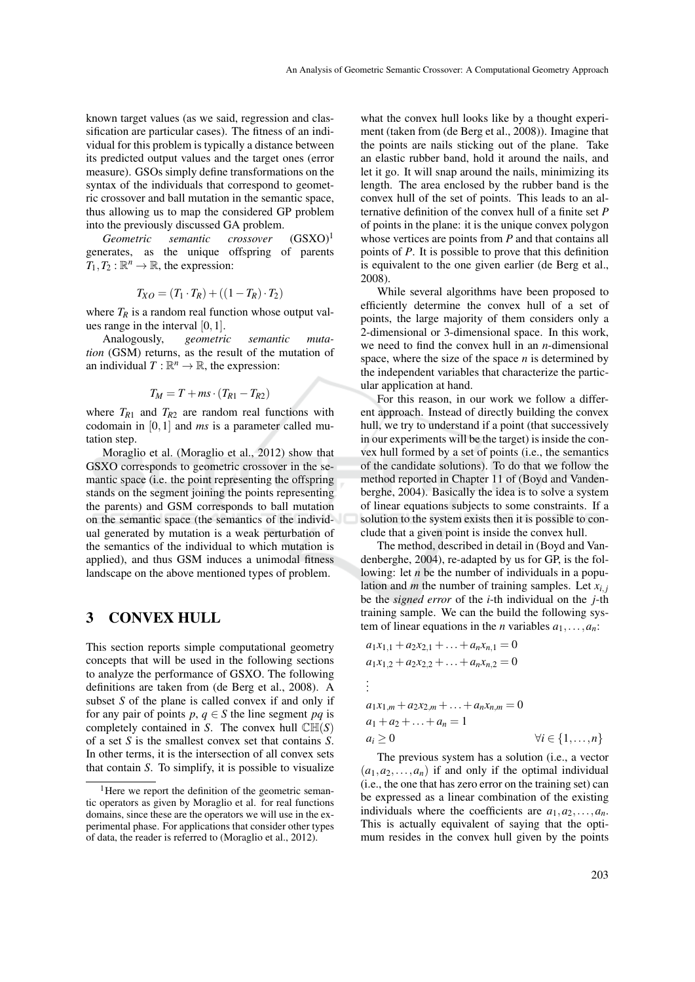known target values (as we said, regression and classification are particular cases). The fitness of an individual for this problem is typically a distance between its predicted output values and the target ones (error measure). GSOs simply define transformations on the syntax of the individuals that correspond to geometric crossover and ball mutation in the semantic space, thus allowing us to map the considered GP problem into the previously discussed GA problem.

*Geometric semantic crossover*  $(GSXO)^1$ generates, as the unique offspring of parents  $T_1, T_2 : \mathbb{R}^n \to \mathbb{R}$ , the expression:

$$
T_{XO} = (T_1 \cdot T_R) + ((1 - T_R) \cdot T_2)
$$

where  $T_R$  is a random real function whose output values range in the interval  $[0,1]$ .

Analogously, *geometric semantic mutation* (GSM) returns, as the result of the mutation of an individual  $T : \mathbb{R}^n \to \mathbb{R}$ , the expression:

$$
T_M = T + ms \cdot (T_{R1} - T_{R2})
$$

where  $T_{R1}$  and  $T_{R2}$  are random real functions with codomain in [0,1] and *ms* is a parameter called mutation step.

Moraglio et al. (Moraglio et al., 2012) show that GSXO corresponds to geometric crossover in the semantic space (i.e. the point representing the offspring stands on the segment joining the points representing the parents) and GSM corresponds to ball mutation on the semantic space (the semantics of the individual generated by mutation is a weak perturbation of the semantics of the individual to which mutation is applied), and thus GSM induces a unimodal fitness landscape on the above mentioned types of problem.

#### 3 CONVEX HULL

This section reports simple computational geometry concepts that will be used in the following sections to analyze the performance of GSXO. The following definitions are taken from (de Berg et al., 2008). A subset *S* of the plane is called convex if and only if for any pair of points  $p, q \in S$  the line segment  $pq$  is completely contained in *S*. The convex hull  $\mathbb{CH}(S)$ of a set *S* is the smallest convex set that contains *S*. In other terms, it is the intersection of all convex sets that contain *S*. To simplify, it is possible to visualize

what the convex hull looks like by a thought experiment (taken from (de Berg et al., 2008)). Imagine that the points are nails sticking out of the plane. Take an elastic rubber band, hold it around the nails, and let it go. It will snap around the nails, minimizing its length. The area enclosed by the rubber band is the convex hull of the set of points. This leads to an alternative definition of the convex hull of a finite set *P* of points in the plane: it is the unique convex polygon whose vertices are points from *P* and that contains all points of *P*. It is possible to prove that this definition is equivalent to the one given earlier (de Berg et al., 2008).

While several algorithms have been proposed to efficiently determine the convex hull of a set of points, the large majority of them considers only a 2-dimensional or 3-dimensional space. In this work, we need to find the convex hull in an *n*-dimensional space, where the size of the space *n* is determined by the independent variables that characterize the particular application at hand.

For this reason, in our work we follow a different approach. Instead of directly building the convex hull, we try to understand if a point (that successively in our experiments will be the target) is inside the convex hull formed by a set of points (i.e., the semantics of the candidate solutions). To do that we follow the method reported in Chapter 11 of (Boyd and Vandenberghe, 2004). Basically the idea is to solve a system of linear equations subjects to some constraints. If a solution to the system exists then it is possible to conclude that a given point is inside the convex hull.

The method, described in detail in (Boyd and Vandenberghe, 2004), re-adapted by us for GP, is the following: let *n* be the number of individuals in a population and *m* the number of training samples. Let  $x_i$ , be the *signed error* of the *i*-th individual on the *j*-th training sample. We can the build the following system of linear equations in the *n* variables  $a_1, \ldots, a_n$ :

$$
a_1x_{1,1} + a_2x_{2,1} + \dots + a_nx_{n,1} = 0
$$
  
\n
$$
a_1x_{1,2} + a_2x_{2,2} + \dots + a_nx_{n,2} = 0
$$
  
\n:  
\n
$$
a_1x_{1,m} + a_2x_{2,m} + \dots + a_nx_{n,m} = 0
$$
  
\n
$$
a_1 + a_2 + \dots + a_n = 1
$$
  
\n
$$
a_i \ge 0 \qquad \forall i \in \{1, \dots, n\}
$$

The previous system has a solution (i.e., a vector  $(a_1, a_2, \ldots, a_n)$  if and only if the optimal individual (i.e., the one that has zero error on the training set) can be expressed as a linear combination of the existing individuals where the coefficients are  $a_1, a_2, \ldots, a_n$ . This is actually equivalent of saying that the optimum resides in the convex hull given by the points

<sup>&</sup>lt;sup>1</sup>Here we report the definition of the geometric semantic operators as given by Moraglio et al. for real functions domains, since these are the operators we will use in the experimental phase. For applications that consider other types of data, the reader is referred to (Moraglio et al., 2012).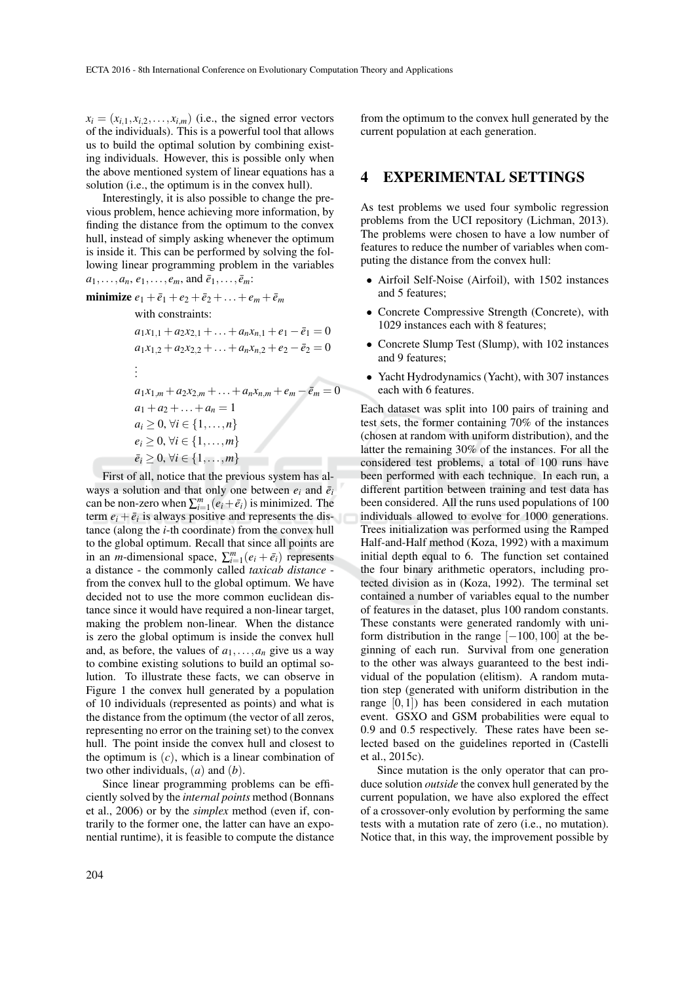$x_i = (x_{i,1}, x_{i,2}, \dots, x_{i,m})$  (i.e., the signed error vectors of the individuals). This is a powerful tool that allows us to build the optimal solution by combining existing individuals. However, this is possible only when the above mentioned system of linear equations has a solution (i.e., the optimum is in the convex hull).

Interestingly, it is also possible to change the previous problem, hence achieving more information, by finding the distance from the optimum to the convex hull, instead of simply asking whenever the optimum is inside it. This can be performed by solving the following linear programming problem in the variables  $a_1, \ldots, a_n, e_1, \ldots, e_m$ , and  $\bar{e}_1, \ldots, \bar{e}_m$ :

minimize 
$$
e_1 + \bar{e}_1 + e_2 + \bar{e}_2 + \dots + e_m + \bar{e}_m
$$
  
\nwith constraints:  
\n $a_1x_{1,1} + a_2x_{2,1} + \dots + a_nx_{n,1} + e_1 - \bar{e}_1 = 0$   
\n $a_1x_{1,2} + a_2x_{2,2} + \dots + a_nx_{n,2} + e_2 - \bar{e}_2 = 0$   
\n:  
\n $a_1x_{1,m} + a_2x_{2,m} + \dots + a_nx_{n,m} + e_m - \bar{e}_m = 0$   
\n $a_1 + a_2 + \dots + a_n = 1$   
\n $a_i > 0, \forall i \in \{1, \dots, n\}$ 

 $a_i \geq 0, \forall i \in \{1,\ldots,n\}$  $e_i$  ≥ 0,  $\forall i$  ∈ {1,...,*m*}  $\bar{e}_i \geq 0, \forall i \in \{1,\ldots,m\}$ 

First of all, notice that the previous system has always a solution and that only one between  $e_i$  and  $\bar{e}_i$ can be non-zero when  $\sum_{i=1}^{m} (e_i + \bar{e}_i)$  is minimized. The term  $e_i + \bar{e}_i$  is always positive and represents the distance (along the *i*-th coordinate) from the convex hull to the global optimum. Recall that since all points are in an *m*-dimensional space,  $\sum_{i=1}^{m} (e_i + \bar{e}_i)$  represents a distance - the commonly called *taxicab distance* from the convex hull to the global optimum. We have decided not to use the more common euclidean distance since it would have required a non-linear target, making the problem non-linear. When the distance is zero the global optimum is inside the convex hull and, as before, the values of  $a_1, \ldots, a_n$  give us a way to combine existing solutions to build an optimal solution. To illustrate these facts, we can observe in Figure 1 the convex hull generated by a population of 10 individuals (represented as points) and what is the distance from the optimum (the vector of all zeros, representing no error on the training set) to the convex hull. The point inside the convex hull and closest to the optimum is  $(c)$ , which is a linear combination of two other individuals, (*a*) and (*b*).

Since linear programming problems can be efficiently solved by the *internal points* method (Bonnans et al., 2006) or by the *simplex* method (even if, contrarily to the former one, the latter can have an exponential runtime), it is feasible to compute the distance

from the optimum to the convex hull generated by the current population at each generation.

#### 4 EXPERIMENTAL SETTINGS

As test problems we used four symbolic regression problems from the UCI repository (Lichman, 2013). The problems were chosen to have a low number of features to reduce the number of variables when computing the distance from the convex hull:

- Airfoil Self-Noise (Airfoil), with 1502 instances and 5 features;
- Concrete Compressive Strength (Concrete), with 1029 instances each with 8 features;
- Concrete Slump Test (Slump), with 102 instances and 9 features;
- Yacht Hydrodynamics (Yacht), with 307 instances each with 6 features.

Each dataset was split into 100 pairs of training and test sets, the former containing 70% of the instances (chosen at random with uniform distribution), and the latter the remaining 30% of the instances. For all the considered test problems, a total of 100 runs have been performed with each technique. In each run, a different partition between training and test data has been considered. All the runs used populations of 100 individuals allowed to evolve for 1000 generations. Trees initialization was performed using the Ramped Half-and-Half method (Koza, 1992) with a maximum initial depth equal to 6. The function set contained the four binary arithmetic operators, including protected division as in (Koza, 1992). The terminal set contained a number of variables equal to the number of features in the dataset, plus 100 random constants. These constants were generated randomly with uniform distribution in the range  $[-100, 100]$  at the beginning of each run. Survival from one generation to the other was always guaranteed to the best individual of the population (elitism). A random mutation step (generated with uniform distribution in the range  $[0,1]$ ) has been considered in each mutation event. GSXO and GSM probabilities were equal to 0.9 and 0.5 respectively. These rates have been selected based on the guidelines reported in (Castelli et al., 2015c).

Since mutation is the only operator that can produce solution *outside* the convex hull generated by the current population, we have also explored the effect of a crossover-only evolution by performing the same tests with a mutation rate of zero (i.e., no mutation). Notice that, in this way, the improvement possible by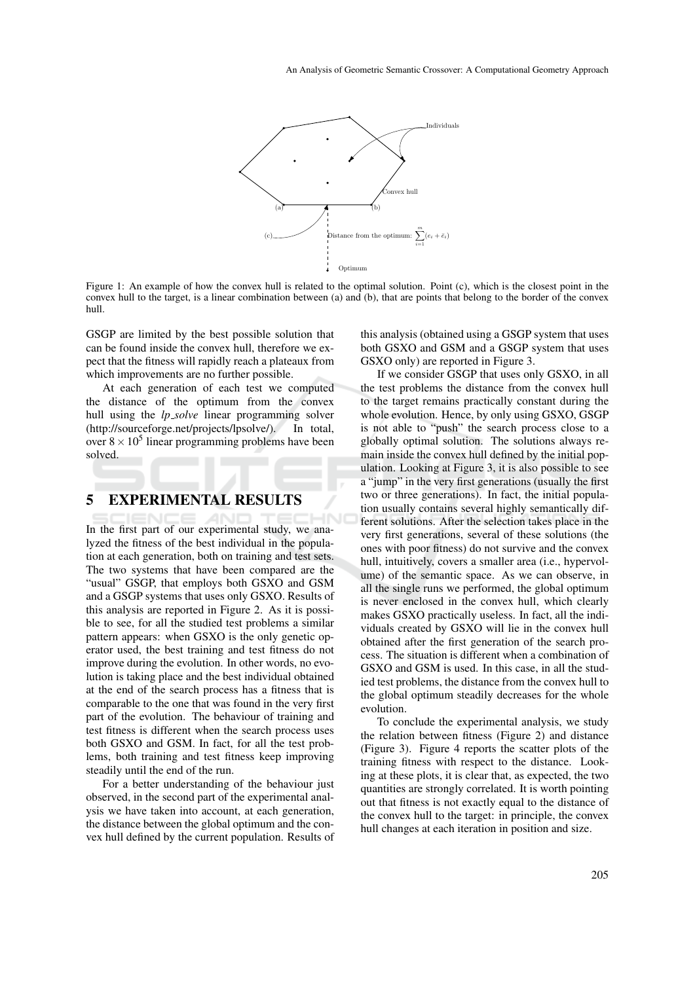

Figure 1: An example of how the convex hull is related to the optimal solution. Point (c), which is the closest point in the convex hull to the target, is a linear combination between (a) and (b), that are points that belong to the border of the convex hull.

GSGP are limited by the best possible solution that can be found inside the convex hull, therefore we expect that the fitness will rapidly reach a plateaux from which improvements are no further possible.

At each generation of each test we computed the distance of the optimum from the convex hull using the *lp\_solve* linear programming solver (http://sourceforge.net/projects/lpsolve/). In total, over  $8 \times 10^5$  linear programming problems have been solved.

#### 5 EXPERIMENTAL RESULTS

In the first part of our experimental study, we analyzed the fitness of the best individual in the population at each generation, both on training and test sets. The two systems that have been compared are the "usual" GSGP, that employs both GSXO and GSM and a GSGP systems that uses only GSXO. Results of this analysis are reported in Figure 2. As it is possible to see, for all the studied test problems a similar pattern appears: when GSXO is the only genetic operator used, the best training and test fitness do not improve during the evolution. In other words, no evolution is taking place and the best individual obtained at the end of the search process has a fitness that is comparable to the one that was found in the very first part of the evolution. The behaviour of training and test fitness is different when the search process uses both GSXO and GSM. In fact, for all the test problems, both training and test fitness keep improving steadily until the end of the run.

For a better understanding of the behaviour just observed, in the second part of the experimental analysis we have taken into account, at each generation, the distance between the global optimum and the convex hull defined by the current population. Results of

this analysis (obtained using a GSGP system that uses both GSXO and GSM and a GSGP system that uses GSXO only) are reported in Figure 3.

If we consider GSGP that uses only GSXO, in all the test problems the distance from the convex hull to the target remains practically constant during the whole evolution. Hence, by only using GSXO, GSGP is not able to "push" the search process close to a globally optimal solution. The solutions always remain inside the convex hull defined by the initial population. Looking at Figure 3, it is also possible to see a "jump" in the very first generations (usually the first two or three generations). In fact, the initial population usually contains several highly semantically different solutions. After the selection takes place in the very first generations, several of these solutions (the ones with poor fitness) do not survive and the convex hull, intuitively, covers a smaller area (i.e., hypervolume) of the semantic space. As we can observe, in all the single runs we performed, the global optimum is never enclosed in the convex hull, which clearly makes GSXO practically useless. In fact, all the individuals created by GSXO will lie in the convex hull obtained after the first generation of the search process. The situation is different when a combination of GSXO and GSM is used. In this case, in all the studied test problems, the distance from the convex hull to the global optimum steadily decreases for the whole evolution.

To conclude the experimental analysis, we study the relation between fitness (Figure 2) and distance (Figure 3). Figure 4 reports the scatter plots of the training fitness with respect to the distance. Looking at these plots, it is clear that, as expected, the two quantities are strongly correlated. It is worth pointing out that fitness is not exactly equal to the distance of the convex hull to the target: in principle, the convex hull changes at each iteration in position and size.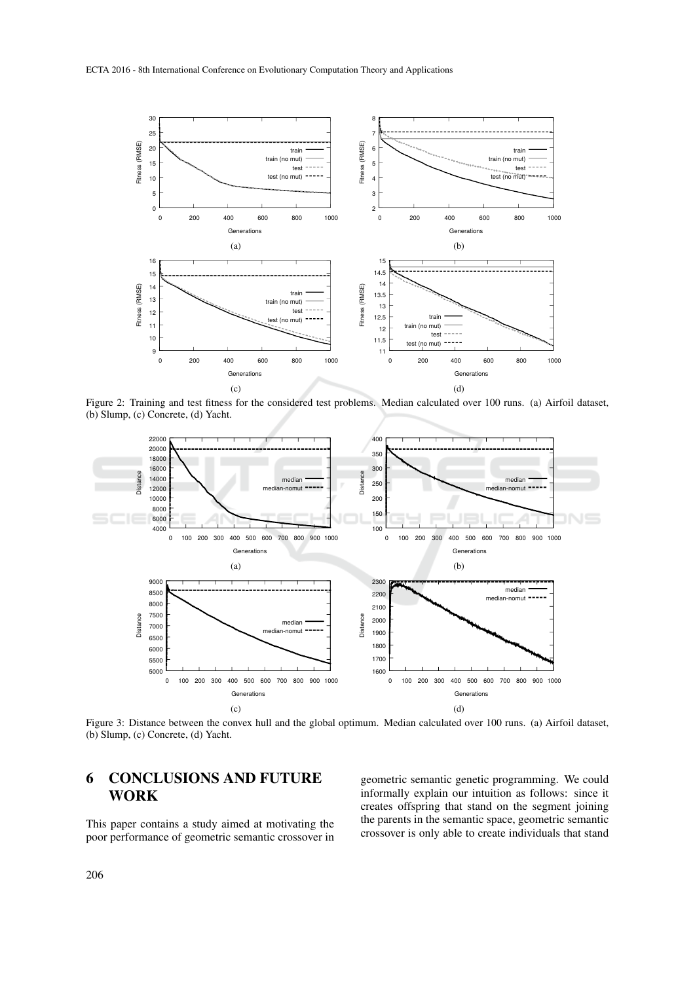

Figure 2: Training and test fitness for the considered test problems. Median calculated over 100 runs. (a) Airfoil dataset, (b) Slump, (c) Concrete, (d) Yacht.



Figure 3: Distance between the convex hull and the global optimum. Median calculated over 100 runs. (a) Airfoil dataset, (b) Slump, (c) Concrete, (d) Yacht.

### 6 CONCLUSIONS AND FUTURE WORK

This paper contains a study aimed at motivating the poor performance of geometric semantic crossover in geometric semantic genetic programming. We could informally explain our intuition as follows: since it creates offspring that stand on the segment joining the parents in the semantic space, geometric semantic crossover is only able to create individuals that stand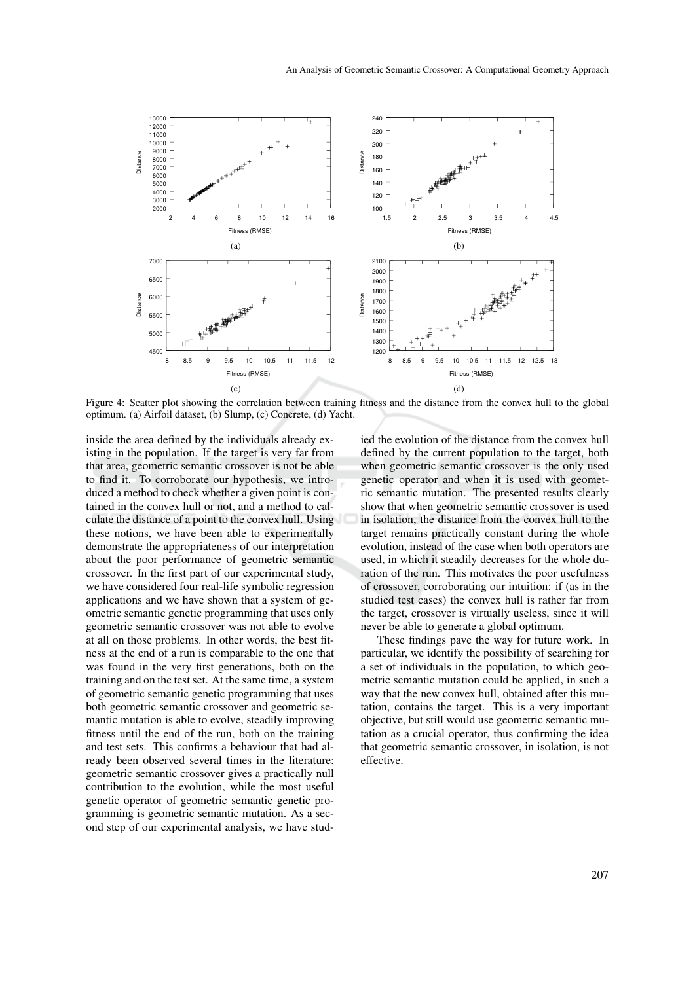

Figure 4: Scatter plot showing the correlation between training fitness and the distance from the convex hull to the global optimum. (a) Airfoil dataset, (b) Slump, (c) Concrete, (d) Yacht.

inside the area defined by the individuals already existing in the population. If the target is very far from that area, geometric semantic crossover is not be able to find it. To corroborate our hypothesis, we introduced a method to check whether a given point is contained in the convex hull or not, and a method to calculate the distance of a point to the convex hull. Using these notions, we have been able to experimentally demonstrate the appropriateness of our interpretation about the poor performance of geometric semantic crossover. In the first part of our experimental study, we have considered four real-life symbolic regression applications and we have shown that a system of geometric semantic genetic programming that uses only geometric semantic crossover was not able to evolve at all on those problems. In other words, the best fitness at the end of a run is comparable to the one that was found in the very first generations, both on the training and on the test set. At the same time, a system of geometric semantic genetic programming that uses both geometric semantic crossover and geometric semantic mutation is able to evolve, steadily improving fitness until the end of the run, both on the training and test sets. This confirms a behaviour that had already been observed several times in the literature: geometric semantic crossover gives a practically null contribution to the evolution, while the most useful genetic operator of geometric semantic genetic programming is geometric semantic mutation. As a second step of our experimental analysis, we have studied the evolution of the distance from the convex hull defined by the current population to the target, both when geometric semantic crossover is the only used genetic operator and when it is used with geometric semantic mutation. The presented results clearly show that when geometric semantic crossover is used in isolation, the distance from the convex hull to the target remains practically constant during the whole evolution, instead of the case when both operators are used, in which it steadily decreases for the whole duration of the run. This motivates the poor usefulness of crossover, corroborating our intuition: if (as in the studied test cases) the convex hull is rather far from the target, crossover is virtually useless, since it will never be able to generate a global optimum.

These findings pave the way for future work. In particular, we identify the possibility of searching for a set of individuals in the population, to which geometric semantic mutation could be applied, in such a way that the new convex hull, obtained after this mutation, contains the target. This is a very important objective, but still would use geometric semantic mutation as a crucial operator, thus confirming the idea that geometric semantic crossover, in isolation, is not effective.